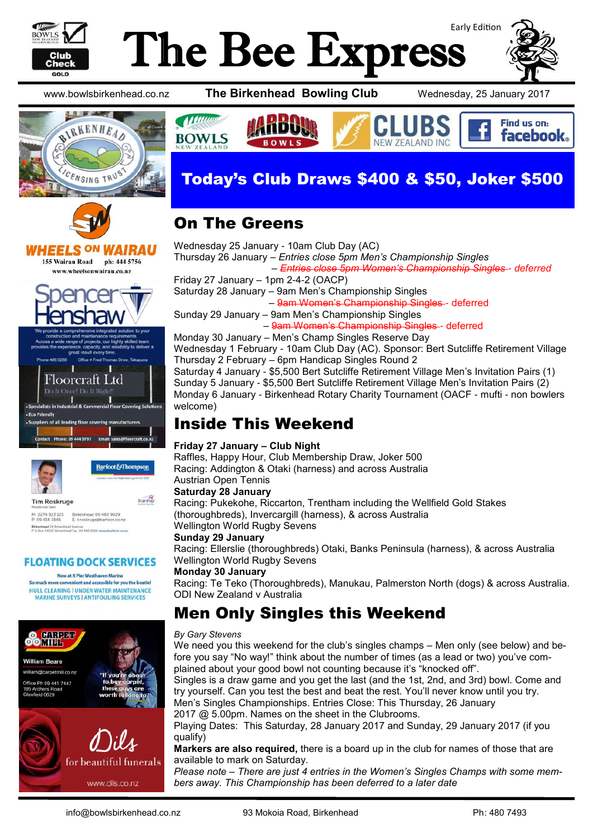

# Early Edition The Bee Express

**BOWLS** 



Find us on:

**facebook.** 

www.bowlsbirkenhead.co.nz **The Birkenhead Bowling Club** Wednesday, 25 January 2017





*<u>Mummer</u>* 

**BOWLS** 

HEELS <sup>ON</sup> WAIRAU 155 Wairau Road ph: 444 5756 www.wheelsonwairau.co.nz



T Floorcraft Ltd Do It Once! Do It Right



Barfoot&Thompson

Starship

**Tim Roskruge** M: 0274 923 125<br>P: 09 418 3846 Birkenhead 09 480 9029<br>E: t.roskruge@barfoot.co .<br>Nenhead 24 Birkenhead Avenue<br>D Box 34027 Birkenhead Fax. 09 480 9018 www.barfoot.

#### **FLOATING DOCK SERVICES**

Now at X Pier Westhaven Marina So much more convenient and accessible for you the boatie! HULL CLEANING | UNDER WATER MAINTENANCE **MARINE SURVEYS | ANTIFOULING SERVICES** 





NEW ZEALAND INC

## On The Greens

Wednesday 25 January - 10am Club Day (AC) Thursday 26 January – *Entries close 5pm Men's Championship Singles – Entries close 5pm Women's Championship Singles - deferred* Friday 27 January – 1pm 2-4-2 (OACP) Saturday 28 January – 9am Men's Championship Singles – 9am Women's Championship Singles - deferred Sunday 29 January – 9am Men's Championship Singles – 9am Women's Championship Singles - deferred Monday 30 January – Men's Champ Singles Reserve Day Wednesday 1 February - 10am Club Day (AC). Sponsor: Bert Sutcliffe Retirement Village Thursday 2 February – 6pm Handicap Singles Round 2

Saturday 4 January - \$5,500 Bert Sutcliffe Retirement Village Men's Invitation Pairs (1) Sunday 5 January - \$5,500 Bert Sutcliffe Retirement Village Men's Invitation Pairs (2) Monday 6 January - Birkenhead Rotary Charity Tournament (OACF - mufti - non bowlers welcome)

### Inside This Weekend

#### **Friday 27 January – Club Night**

Raffles, Happy Hour, Club Membership Draw, Joker 500 Racing: Addington & Otaki (harness) and across Australia Austrian Open Tennis

#### **Saturday 28 January**

Racing: Pukekohe, Riccarton, Trentham including the Wellfield Gold Stakes (thoroughbreds), Invercargill (harness), & across Australia

Wellington World Rugby Sevens

#### **Sunday 29 January**

Racing: Ellerslie (thoroughbreds) Otaki, Banks Peninsula (harness), & across Australia Wellington World Rugby Sevens

#### **Monday 30 January**

Racing: Te Teko (Thoroughbreds), Manukau, Palmerston North (dogs) & across Australia. ODI New Zealand v Australia

## Men Only Singles this Weekend

#### *By Gary Stevens*

We need you this weekend for the club's singles champs – Men only (see below) and before you say "No way!" think about the number of times (as a lead or two) you've complained about your good bowl not counting because it's "knocked off". Singles is a draw game and you get the last (and the 1st, 2nd, and 3rd) bowl. Come and

try yourself. Can you test the best and beat the rest. You'll never know until you try. Men's Singles Championships. Entries Close: This Thursday, 26 January

2017 @ 5.00pm. Names on the sheet in the Clubrooms.

Playing Dates: This Saturday, 28 January 2017 and Sunday, 29 January 2017 (if you qualify)

**Markers are also required,** there is a board up in the club for names of those that are available to mark on Saturday.

*Please note – There are just 4 entries in the Women's Singles Champs with some members away. This Championship has been deferred to a later date*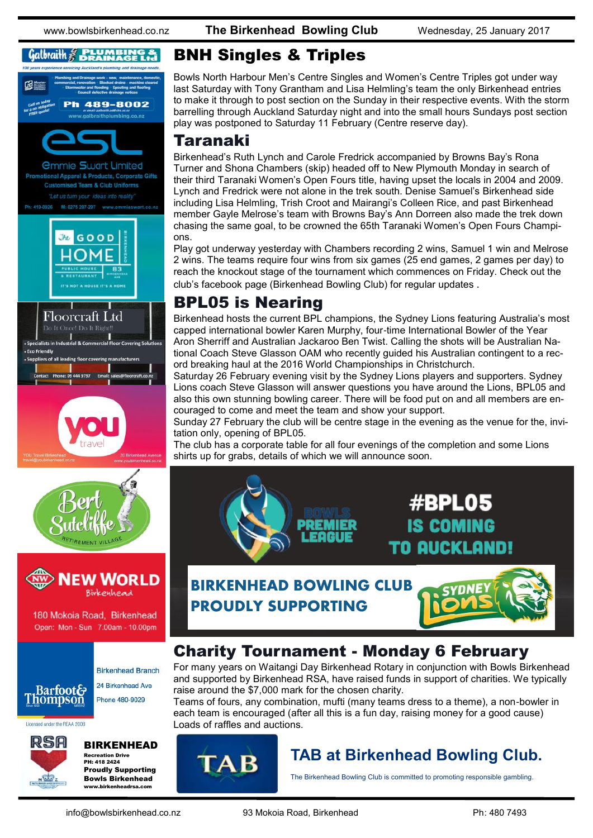#### $Gal$ *braith*  $\n *g*$  *BRAINBING*







180 Mokoia Road, Birkenhead Open: Mon - Sun 7.00am - 10.00pm

#### **Birkenhead Branch** 24 Birkenhead Ave **Barfoot& Thompson** Phone 480-9029

Licensed under the REAA 2008



#### BIRKENHEAD

Recreation Drive PH: 418 2424 Proudly Supporting Bowls Birkenhead www.birkenheadrsa.com

## BNH Singles & Triples

Bowls North Harbour Men's Centre Singles and Women's Centre Triples got under way last Saturday with Tony Grantham and Lisa Helmling's team the only Birkenhead entries to make it through to post section on the Sunday in their respective events. With the storm barrelling through Auckland Saturday night and into the small hours Sundays post section play was postponed to Saturday 11 February (Centre reserve day).

#### Taranaki

Birkenhead's Ruth Lynch and Carole Fredrick accompanied by Browns Bay's Rona Turner and Shona Chambers (skip) headed off to New Plymouth Monday in search of their third Taranaki Women's Open Fours title, having upset the locals in 2004 and 2009. Lynch and Fredrick were not alone in the trek south. Denise Samuel's Birkenhead side including Lisa Helmling, Trish Croot and Mairangi's Colleen Rice, and past Birkenhead member Gayle Melrose's team with Browns Bay's Ann Dorreen also made the trek down chasing the same goal, to be crowned the 65th Taranaki Women's Open Fours Champions.

Play got underway yesterday with Chambers recording 2 wins, Samuel 1 win and Melrose 2 wins. The teams require four wins from six games (25 end games, 2 games per day) to reach the knockout stage of the tournament which commences on Friday. Check out the club's facebook page (Birkenhead Bowling Club) for regular updates .

## BPL05 is Nearing

Birkenhead hosts the current BPL champions, the Sydney Lions featuring Australia's most capped international bowler Karen Murphy, four-time International Bowler of the Year Aron Sherriff and Australian Jackaroo Ben Twist. Calling the shots will be Australian National Coach Steve Glasson OAM who recently guided his Australian contingent to a record breaking haul at the 2016 World Championships in Christchurch.

Saturday 26 February evening visit by the Sydney Lions players and supporters. Sydney Lions coach Steve Glasson will answer questions you have around the Lions, BPL05 and also this own stunning bowling career. There will be food put on and all members are encouraged to come and meet the team and show your support.

Sunday 27 February the club will be centre stage in the evening as the venue for the, invitation only, opening of BPL05.

The club has a corporate table for all four evenings of the completion and some Lions shirts up for grabs, details of which we will announce soon.



**BIRKENHEAD BOWLING CLUB PROUDLY SUPPORTING**



## Charity Tournament - Monday 6 February

For many years on Waitangi Day Birkenhead Rotary in conjunction with Bowls Birkenhead and supported by Birkenhead RSA, have raised funds in support of charities. We typically raise around the \$7,000 mark for the chosen charity.

Teams of fours, any combination, mufti (many teams dress to a theme), a non-bowler in each team is encouraged (after all this is a fun day, raising money for a good cause) Loads of raffles and auctions.



## **TAB at Birkenhead Bowling Club.**

The Birkenhead Bowling Club is committed to promoting responsible gambling.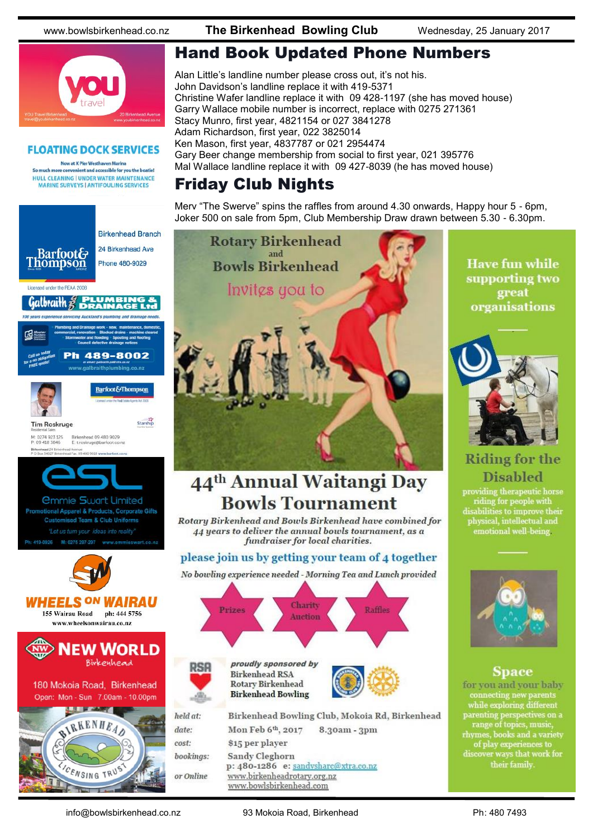www.bowlsbirkenhead.co.nz **The Birkenhead Bowling Club** Wednesday, 25 January 2017



#### **FLOATING DOCK SERVICES**

Now at X Pier Westhaven Marina So much more convenient and accessible for you the boatie! HULL CLEANING | UNDER WATER MAINTENANCE **MARINE SURVEYS | ANTIFOULING SERVICES** 



## Hand Book Updated Phone Numbers

Alan Little's landline number please cross out, it's not his. John Davidson's landline replace it with 419-5371 Christine Wafer landline replace it with 09 428-1197 (she has moved house) Garry Wallace mobile number is incorrect, replace with 0275 271361 Stacy Munro, first year, 4821154 or 027 3841278 Adam Richardson, first year, 022 3825014 Ken Mason, first year, 4837787 or 021 2954474 Gary Beer change membership from social to first year, 021 395776 Mal Wallace landline replace it with 09 427-8039 (he has moved house)

## Friday Club Nights

Merv "The Swerve" spins the raffles from around 4.30 onwards, Happy hour 5 - 6pm, Joker 500 on sale from 5pm, Club Membership Draw drawn between 5.30 - 6.30pm.



## 44<sup>th</sup> Annual Waitangi Day **Bowls Tournament**

Rotary Birkenhead and Bowls Birkenhead have combined for 44 years to deliver the annual bowls tournament, as a fundraiser for local charities.

#### please join us by getting your team of 4 together

No bowling experience needed - Morning Tea and Lunch provided



Sandy Cleghorn p: 480-1286 e: sandysharc@xtra.co.nz www.birkenheadrotary.org.nz www.bowlsbirkenhead.com

**Have fun while** supporting two great organisations



### **Riding for the Disabled**

providing therapeutic horse<br>riding for people with<br>disabilities to improve their physical, intellectual and emotional well-being



#### **Space**

for you and your baby connecting new parents while exploring different parenting perspectives on a<br>range of topics, music,<br>rhymes, books and a variety of play experiences to<br>discover ways that work for<br>their family.